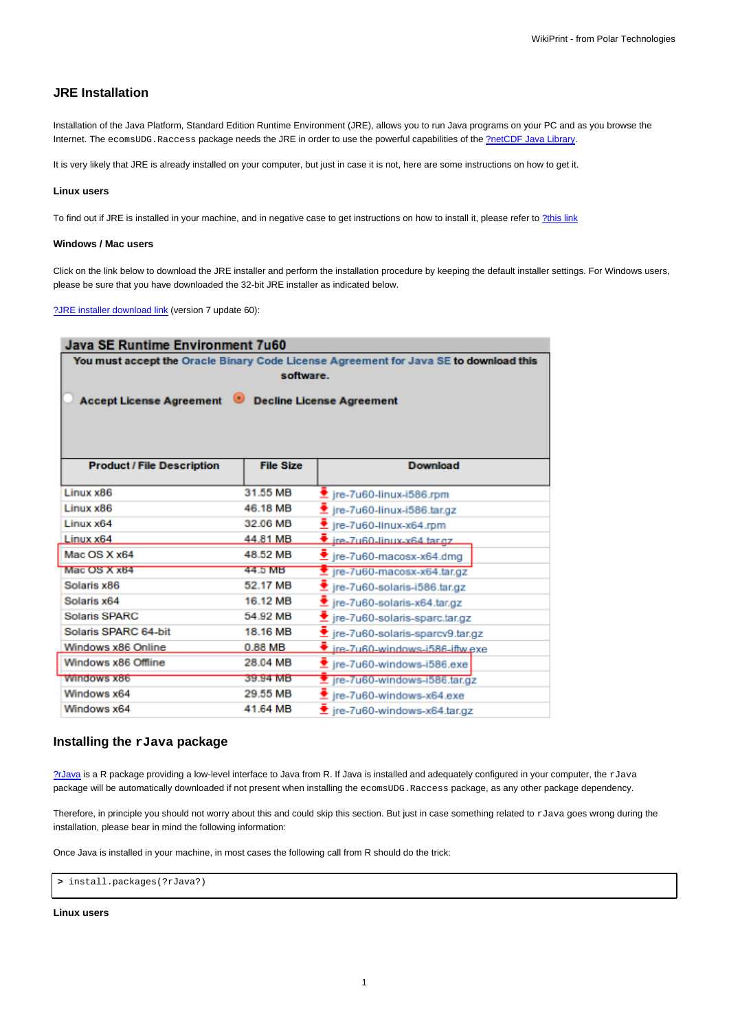# **JRE Installation**

Installation of the Java Platform, Standard Edition Runtime Environment (JRE), allows you to run Java programs on your PC and as you browse the Internet. The ecomsUDG.Raccess package needs the JRE in order to use the powerful capabilities of the [?netCDF Java Library.](http://www.unidata.ucar.edu/downloads/netcdf/netcdf-java-4/index.jsp)

It is very likely that JRE is already installed on your computer, but just in case it is not, here are some instructions on how to get it.

#### **Linux users**

To find out if JRE is installed in your machine, and in negative case to get instructions on how to install it, please refer to [?this link](http://ice.he.net/~hedden/jrelinux.html)

### **Windows / Mac users**

Click on the link below to download the JRE installer and perform the installation procedure by keeping the default installer settings. For Windows users, please be sure that you have downloaded the 32-bit JRE installer as indicated below.

[?JRE installer download link](http://www.oracle.com/technetwork/java/javase/downloads/jre7-downloads-1880261.html) (version 7 update 60):

| Java SE Runtime Environment 7u60<br>You must accept the Oracle Binary Code License Agreement for Java SE to download this<br>software.<br>Accept License Agreement Decline License Agreement |          |                                                       |                                   |                  |                 |
|----------------------------------------------------------------------------------------------------------------------------------------------------------------------------------------------|----------|-------------------------------------------------------|-----------------------------------|------------------|-----------------|
|                                                                                                                                                                                              |          |                                                       |                                   |                  |                 |
|                                                                                                                                                                                              |          |                                                       |                                   |                  |                 |
|                                                                                                                                                                                              |          |                                                       |                                   |                  |                 |
|                                                                                                                                                                                              |          |                                                       | <b>Product / File Description</b> | <b>File Size</b> | <b>Download</b> |
| Linux x86                                                                                                                                                                                    | 31.55 MB | $\overline{\mathbf{\hat{z}}}$ jre-7u60-linux-i586.rpm |                                   |                  |                 |
| Linux x86                                                                                                                                                                                    | 46.18 MB | $\blacktriangleright$ jre-7u60-linux-i586.tar.gz      |                                   |                  |                 |
| Linuxx64                                                                                                                                                                                     | 32.06 MB | $\bullet$ jre-7u60-linux-x64.rpm                      |                                   |                  |                 |
| Linux x64                                                                                                                                                                                    | 44.81 MB | $\bullet$ ire-7u60-linux-x64 targz                    |                                   |                  |                 |
| Mac OS X x64                                                                                                                                                                                 | 48.52 MB | $\bullet$ jre-7u60-macosx-x64.dmg                     |                                   |                  |                 |
| Mac OS X x64                                                                                                                                                                                 | 44.5 MB  | $\overline{\mathbf{z}}$ jre-7u60-macosx-x64.tar.gz    |                                   |                  |                 |
| Solaris x86                                                                                                                                                                                  | 52.17 MB | $\bullet$ jre-7u60-solaris-i586.tar.gz                |                                   |                  |                 |
| Solaris x64                                                                                                                                                                                  | 16.12 MB | $\bullet$ jre-7u60-solaris-x64.tar.gz                 |                                   |                  |                 |
| <b>Solaris SPARC</b>                                                                                                                                                                         | 54.92 MB | Let jre-7u60-solaris-sparc.tar.gz                     |                                   |                  |                 |
| Solaris SPARC 64-bit                                                                                                                                                                         | 18.16 MB | Let ire-7u60-solaris-sparcv9.tar.gz                   |                                   |                  |                 |
| Windows x86 Online                                                                                                                                                                           | 0.88 MB  | $\bullet$ ire-7u60-windows-i586-iftw.exe              |                                   |                  |                 |
| Windows x86 Offline                                                                                                                                                                          | 28.04 MB | $\blacktriangleright$ jre-7u60-windows-i586.exe       |                                   |                  |                 |
| <b>Windows x86</b>                                                                                                                                                                           | 39.94 MB | ₹ jre-7u60-windows-i586.tar.gz                        |                                   |                  |                 |
| Windows x64                                                                                                                                                                                  | 29.55 MB | $\blacktriangleright$ jre-7u60-windows-x64.exe        |                                   |                  |                 |
| Windows x64                                                                                                                                                                                  | 41.64 MB | $\bullet$ ire-7u60-windows-x64.tar.gz                 |                                   |                  |                 |

# **Installing the rJava package**

[?rJava](http://cran.r-project.org/web/packages/rJava/index.html) is a R package providing a low-level interface to Java from R. If Java is installed and adequately configured in your computer, the rJava package will be automatically downloaded if not present when installing the ecomsUDG.Raccess package, as any other package dependency.

Therefore, in principle you should not worry about this and could skip this section. But just in case something related to  $rJ$ ava goes wrong during the installation, please bear in mind the following information:

Once Java is installed in your machine, in most cases the following call from R should do the trick:

```
> install.packages(?rJava?)
```
### **Linux users**